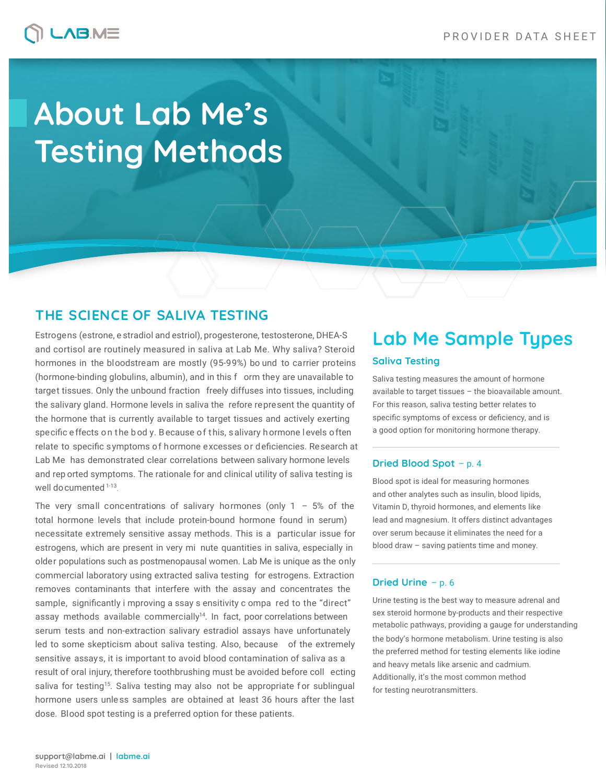## **LABME**

# **About Lab Me's Testing Methods**

## **THE SCIENCE OF SALIVA TESTING**

Estrogens (estrone, e stradiol and estriol), progesterone, testosterone, DHEA-S and cortisol are routinely measured in saliva at Lab Me. Why saliva? Steroid hormones in the bloodstream are mostly (95-99%) bo und to carrier proteins (hormone-binding globulins, albumin), and in this f orm they are unavailable to target tissues. Only the unbound fraction freely diffuses into tissues, including the salivary gland. Hormone levels in saliva the refore represent the quantity of the hormone that is currently available to target tissues and actively exerting specific effects on the bod y. Because of this, salivary hormone levels often relate to specific symptoms of hormone excesses or deficiencies. Research at Lab Me has demonstrated clear correlations between salivary hormone levels and rep orted symptoms. The rationale for and clinical utility of saliva testing is well documented 1-13.

The very small concentrations of salivary hormones (only  $1 - 5\%$  of the total hormone levels that include protein-bound hormone found in serum) necessitate extremely sensitive assay methods. This is a particular issue for estrogens, which are present in very mi nute quantities in saliva, especially in older populations such as postmenopausal women. Lab Me is unique as the only commercial laboratory using extracted saliva testing for estrogens. Extraction removes contaminants that interfere with the assay and concentrates the sample, significantly i mproving a ssay s ensitivity c ompa red to the "direct" assay methods available commercially<sup>14</sup>. In fact, poor correlations between serum tests and non-extraction salivary estradiol assays have unfortunately led to some skepticism about saliva testing. Also, because of the extremely sensitive assays, it is important to avoid blood contamination of saliva as a result of oral injury, therefore toothbrushing must be avoided before coll ecting saliva for testing<sup>15</sup>. Saliva testing may also not be appropriate for sublingual hormone users unle ss samples are obtained at least 36 hours after the last dose. Blood spot testing is a preferred option for these patients.

## **Saliva Testing Lab Me Sample Types**

Saliva testing measures the amount of hormone available to target tissues – the bioavailable amount. For this reason, saliva testing better relates to specific symptoms of excess or deficiency, and is a good option for monitoring hormone therapy.

### **Dried Blood Spot** – p. 4

Blood spot is ideal for measuring hormones and other analytes such as insulin, blood lipids, Vitamin D, thyroid hormones, and elements like lead and magnesium. It offers distinct advantages over serum because it eliminates the need for a blood draw – saving patients time and money.

### **Dried Urine** – p. 6

Urine testing is the best way to measure adrenal and sex steroid hormone by-products and their respective metabolic pathways, providing a gauge for understanding the body's hormone metabolism. Urine testing is also the preferred method for testing elements like iodine and heavy metals like arsenic and cadmium. Additionally, it's the most common method for testing neurotransmitters.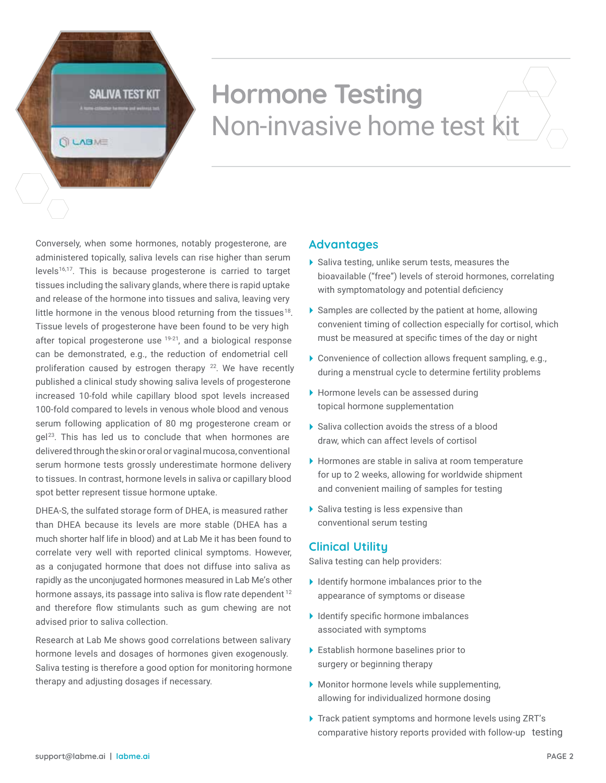SALIVA TEST KIT

**QUABME** 

## **Hormone Testing** Non-invasive home test kit

Conversely, when some hormones, notably progesterone, are administered topically, saliva levels can rise higher than serum levels<sup>16,17</sup>. This is because progesterone is carried to target tissues including the salivary glands, where there is rapid uptake and release of the hormone into tissues and saliva, leaving very little hormone in the venous blood returning from the tissues<sup>18</sup>. Tissue levels of progesterone have been found to be very high after topical progesterone use <sup>19-21</sup>, and a biological response can be demonstrated, e.g., the reduction of endometrial cell proliferation caused by estrogen therapy <sup>22</sup>. We have recently published a clinical study showing saliva levels of progesterone increased 10-fold while capillary blood spot levels increased 100-fold compared to levels in venous whole blood and venous serum following application of 80 mg progesterone cream or gel 23. This has led us to conclude that when hormones are delivered through the skin or oral or vaginal mucosa, conventional serum hormone tests grossly underestimate hormone delivery to tissues. In contrast, hormone levels in saliva or capillary blood spot better represent tissue hormone uptake.

DHEA-S, the sulfated storage form of DHEA, is measured rather than DHEA because its levels are more stable (DHEA has a much shorter half life in blood) and at Lab Me it has been found to correlate very well with reported clinical symptoms. However, as a conjugated hormone that does not diffuse into saliva as rapidly as the unconjugated hormones measured in Lab Me's other hormone assays, its passage into saliva is flow rate dependent<sup>12</sup> and therefore flow stimulants such as gum chewing are not advised prior to saliva collection.

Research at Lab Me shows good correlations between salivary hormone levels and dosages of hormones given exogenously. Saliva testing is therefore a good option for monitoring hormone therapy and adjusting dosages if necessary.

### **Advantages**

- $\blacktriangleright$  Saliva testing, unlike serum tests, measures the bioavailable ("free") levels of steroid hormones, correlating with symptomatology and potential deficiency
- Samples are collected by the patient at home, allowing convenient timing of collection especially for cortisol, which must be measured at specific times of the day or night
- Convenience of collection allows frequent sampling, e.g., during a menstrual cycle to determine fertility problems
- Hormone levels can be assessed during topical hormone supplementation
- ▶ Saliva collection avoids the stress of a blood draw, which can affect levels of cortisol
- Hormones are stable in saliva at room temperature for up to 2 weeks, allowing for worldwide shipment and convenient mailing of samples for testing
- $\blacktriangleright$  Saliva testing is less expensive than conventional serum testing

## **Clinical Utility**

Saliva testing can help providers:

- $\blacktriangleright$  Identify hormone imbalances prior to the appearance of symptoms or disease
- $\blacktriangleright$  Identify specific hormone imbalances associated with symptoms
- Establish hormone baselines prior to surgery or beginning therapy
- Monitor hormone levels while supplementing, allowing for individualized hormone dosing
- Track patient symptoms and hormone levels using ZRT's comparative history reports provided with follow-up testing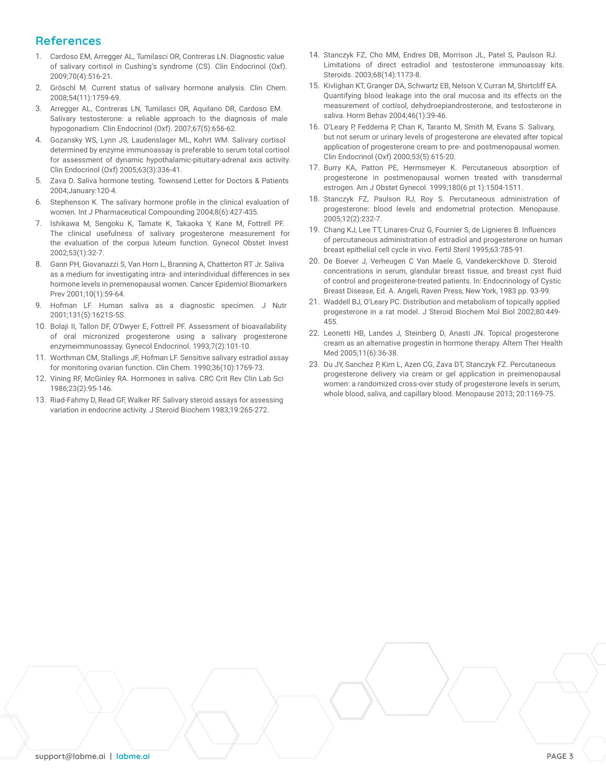## **References**

- 1. Cardoso EM, Arregger AL, Tumilasci OR, Contreras LN. Diagnostic value of salivary cortisol in Cushing's syndrome (CS). Clin Endocrinol (Oxf). 2009;70(4):516-21.
- 2. Gröschl M. Current status of salivary hormone analysis. Clin Chem. 2008;54(11):1759-69.
- 3. Arregger AL, Contreras LN, Tumilasci OR, Aquilano DR, Cardoso EM. Salivary testosterone: a reliable approach to the diagnosis of male hypogonadism. Clin Endocrinol (Oxf). 2007;67(5):656-62.
- 4. Gozansky WS, Lynn JS, Laudenslager ML, Kohrt WM. Salivary cortisol determined by enzyme immunoassay is preferable to serum total cortisol for assessment of dynamic hypothalamic-pituitary-adrenal axis activity. Clin Endocrinol (Oxf) 2005;63(3):336-41.
- 5. Zava D. Saliva hormone testing. Townsend Letter for Doctors & Patients 2004;January:120-4.
- 6. Stephenson K. The salivary hormone profile in the clinical evaluation of women. Int J Pharmaceutical Compounding 2004;8(6):427-435.
- 7. Ishikawa M, Sengoku K, Tamate K, Takaoka Y, Kane M, Fottrell PF. The clinical usefulness of salivary progesterone measurement for the evaluation of the corpus luteum function. Gynecol Obstet Invest 2002;53(1):32-7.
- 8. Gann PH, Giovanazzi S, Van Horn L, Branning A, Chatterton RT Jr. Saliva as a medium for investigating intra- and interindividual differences in sex hormone levels in premenopausal women. Cancer Epidemiol Biomarkers Prev 2001;10(1):59-64.
- 9. Hofman LF. Human saliva as a diagnostic specimen. J Nutr 2001;131(5):1621S-5S.
- 10. Bolaji II, Tallon DF, O'Dwyer E, Fottrell PF. Assessment of bioavailability of oral micronized progesterone using a salivary progesterone enzymeimmunoassay. Gynecol Endocrinol. 1993;7(2):101-10.
- 11. Worthman CM, Stallings JF, Hofman LF. Sensitive salivary estradiol assay for monitoring ovarian function. Clin Chem. 1990;36(10):1769-73.
- 12. Vining RF, McGinley RA. Hormones in saliva. CRC Crit Rev Clin Lab Sci 1986;23(2):95-146.
- 13. Riad-Fahmy D, Read GF, Walker RF. Salivary steroid assays for assessing variation in endocrine activity. J Steroid Biochem 1983;19:265-272.
- 14. Stanczyk FZ, Cho MM, Endres DB, Morrison JL, Patel S, Paulson RJ. Limitations of direct estradiol and testosterone immunoassay kits. Steroids. 2003;68(14):1173-8.
- 15. Kivlighan KT, Granger DA, Schwartz EB, Nelson V, Curran M, Shirtcliff EA. Quantifying blood leakage into the oral mucosa and its effects on the measurement of cortisol, dehydroepiandrosterone, and testosterone in saliva. Horm Behav 2004;46(1):39-46.
- 16. O'Leary P, Feddema P, Chan K, Taranto M, Smith M, Evans S. Salivary, but not serum or urinary levels of progesterone are elevated after topical application of progesterone cream to pre- and postmenopausal women. Clin Endocrinol (Oxf) 2000;53(5):615-20.
- 17. Burry KA, Patton PE, Hermsmeyer K. Percutaneous absorption of progesterone in postmenopausal women treated with transdermal estrogen. Am J Obstet Gynecol. 1999;180(6 pt 1):1504-1511.
- 18. Stanczyk FZ, Paulson RJ, Roy S. Percutaneous administration of progesterone: blood levels and endometrial protection. Menopause. 2005;12(2):232-7.
- 19. Chang KJ, Lee TT, Linares-Cruz G, Fournier S, de Lignieres B. Influences of percutaneous administration of estradiol and progesterone on human breast epithelial cell cycle in vivo. Fertil Steril 1995;63:785-91.
- 20. De Boever J, Verheugen C Van Maele G, Vandekerckhove D. Steroid concentrations in serum, glandular breast tissue, and breast cyst fluid of control and progesterone-treated patients. In: Endocrinology of Cystic Breast Disease, Ed. A. Angeli, Raven Press, New York, 1983 pp. 93-99.
- 21. Waddell BJ, O'Leary PC. Distribution and metabolism of topically applied progesterone in a rat model. J Steroid Biochem Mol Biol 2002;80:449- 455.
- 22. Leonetti HB, Landes J, Steinberg D, Anasti JN. Topical progesterone cream as an alternative progestin in hormone therapy. Altern Ther Health Med 2005;11(6):36-38.
- 23. Du JY, Sanchez P, Kim L, Azen CG, Zava DT, Stanczyk FZ. Percutaneous progesterone delivery via cream or gel application in preimenopausal women: a randomized cross-over study of progesterone levels in serum, whole blood, saliva, and capillary blood. Menopause 2013; 20:1169-75.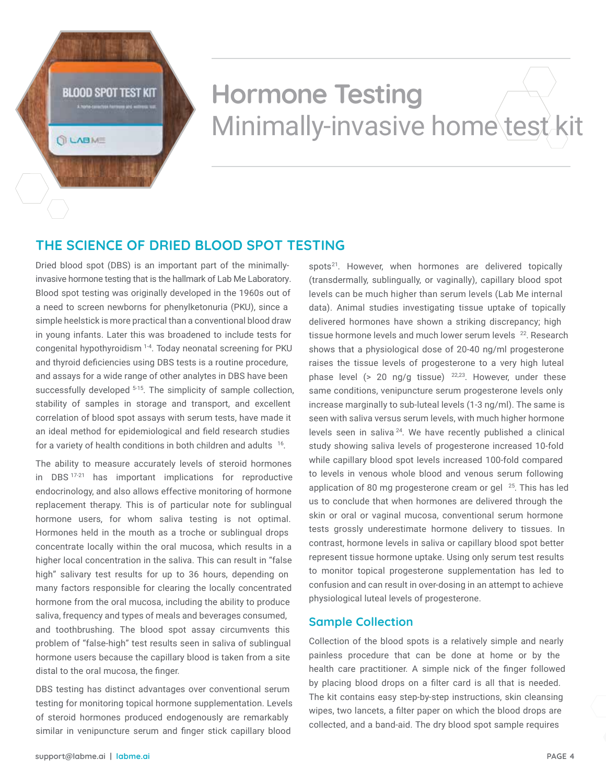## **BLOOD SPOT TEST KIT**

**QUABME** 

## **Hormone Testing** Minimally-invasive home test kit

## **THE SCIENCE OF DRIED BLOOD SPOT TESTING**

Dried blood spot (DBS) is an important part of the minimallyinvasive hormone testing that is the hallmark of Lab Me Laboratory. Blood spot testing was originally developed in the 1960s out of a need to screen newborns for phenylketonuria (PKU), since a simple heelstick is more practical than a conventional blood draw in young infants. Later this was broadened to include tests for congenital hypothyroidism 1-4 . Today neonatal screening for PKU and thyroid deficiencies using DBS tests is a routine procedure, and assays for a wide range of other analytes in DBS have been successfully developed <sup>5-15</sup>. The simplicity of sample collection, stability of samples in storage and transport, and excellent correlation of blood spot assays with serum tests, have made it an ideal method for epidemiological and field research studies for a variety of health conditions in both children and adults  $16$ .

The ability to measure accurately levels of steroid hormones in DBS 17-21 has important implications for reproductive endocrinology, and also allows effective monitoring of hormone replacement therapy. This is of particular note for sublingual hormone users, for whom saliva testing is not optimal. Hormones held in the mouth as a troche or sublingual drops concentrate locally within the oral mucosa, which results in a higher local concentration in the saliva. This can result in "false high" salivary test results for up to 36 hours, depending on many factors responsible for clearing the locally concentrated hormone from the oral mucosa, including the ability to produce saliva, frequency and types of meals and beverages consumed, and toothbrushing. The blood spot assay circumvents this problem of "false-high" test results seen in saliva of sublingual hormone users because the capillary blood is taken from a site distal to the oral mucosa, the finger.

DBS testing has distinct advantages over conventional serum testing for monitoring topical hormone supplementation. Levels of steroid hormones produced endogenously are remarkably similar in venipuncture serum and finger stick capillary blood

spots<sup>21</sup>. However, when hormones are delivered topically (transdermally, sublingually, or vaginally), capillary blood spot levels can be much higher than serum levels (Lab Me internal data). Animal studies investigating tissue uptake of topically delivered hormones have shown a striking discrepancy; high tissue hormone levels and much lower serum levels <sup>22</sup>. Research shows that a physiological dose of 20-40 ng/ml progesterone raises the tissue levels of progesterone to a very high luteal phase level  $(> 20 \text{ ng/g tissue})$   $^{22,23}$ . However, under these same conditions, venipuncture serum progesterone levels only increase marginally to sub-luteal levels (1-3 ng/ml). The same is seen with saliva versus serum levels, with much higher hormone levels seen in saliva 24. We have recently published a clinical study showing saliva levels of progesterone increased 10-fold while capillary blood spot levels increased 100-fold compared to levels in venous whole blood and venous serum following application of 80 mg progesterone cream or gel  $25$ . This has led us to conclude that when hormones are delivered through the skin or oral or vaginal mucosa, conventional serum hormone tests grossly underestimate hormone delivery to tissues. In contrast, hormone levels in saliva or capillary blood spot better represent tissue hormone uptake. Using only serum test results to monitor topical progesterone supplementation has led to confusion and can result in over-dosing in an attempt to achieve physiological luteal levels of progesterone.

## **Sample Collection**

Collection of the blood spots is a relatively simple and nearly painless procedure that can be done at home or by the health care practitioner. A simple nick of the finger followed by placing blood drops on a filter card is all that is needed. The kit contains easy step-by-step instructions, skin cleansing wipes, two lancets, a filter paper on which the blood drops are collected, and a band-aid. The dry blood spot sample requires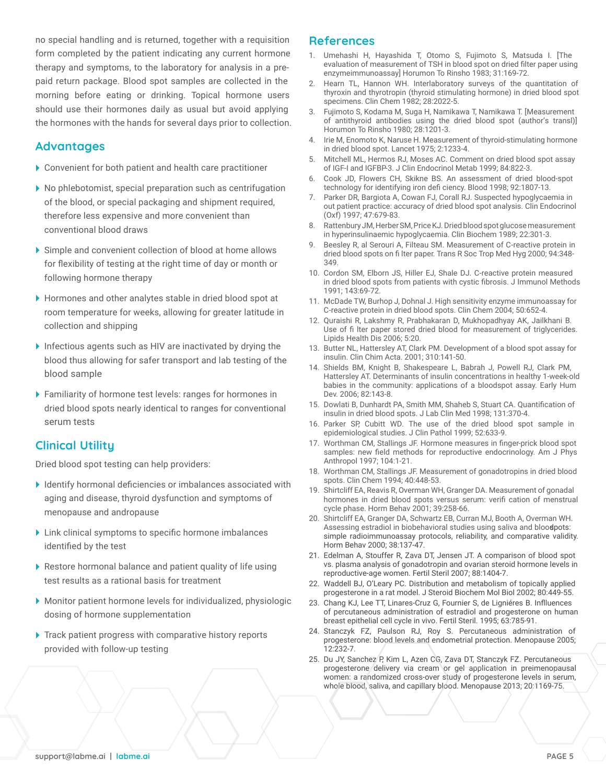no special handling and is returned, together with a requisition form completed by the patient indicating any current hormone therapy and symptoms, to the laboratory for analysis in a prepaid return package. Blood spot samples are collected in the morning before eating or drinking. Topical hormone users should use their hormones daily as usual but avoid applying the hormones with the hands for several days prior to collection.

### **Advantages**

- Convenient for both patient and health care practitioner
- No phlebotomist, special preparation such as centrifugation of the blood, or special packaging and shipment required, therefore less expensive and more convenient than conventional blood draws
- Simple and convenient collection of blood at home allows for flexibility of testing at the right time of day or month or following hormone therapy
- Hormones and other analytes stable in dried blood spot at room temperature for weeks, allowing for greater latitude in collection and shipping
- Infectious agents such as HIV are inactivated by drying the blood thus allowing for safer transport and lab testing of the blood sample
- Familiarity of hormone test levels: ranges for hormones in dried blood spots nearly identical to ranges for conventional serum tests

## **Clinical Utility**

Dried blood spot testing can help providers:

- Identify hormonal deficiencies or imbalances associated with aging and disease, thyroid dysfunction and symptoms of menopause and andropause
- Link clinical symptoms to specific hormone imbalances identified by the test
- Restore hormonal balance and patient quality of life using test results as a rational basis for treatment
- Monitor patient hormone levels for individualized, physiologic dosing of hormone supplementation
- ▶ Track patient progress with comparative history reports provided with follow-up testing

### **References**

- 1. Umehashi H, Hayashida T, Otomo S, Fujimoto S, Matsuda I. [The evaluation of measurement of TSH in blood spot on dried filter paper using enzymeimmunoassay] Horumon To Rinsho 1983; 31:169-72.
- 2. Hearn TL, Hannon WH. Interlaboratory surveys of the quantitation of thyroxin and thyrotropin (thyroid stimulating hormone) in dried blood spot specimens. Clin Chem 1982; 28:2022-5.
- 3. Fujimoto S, Kodama M, Suga H, Namikawa T, Namikawa T. [Measurement of antithyroid antibodies using the dried blood spot (author's transl)] Horumon To Rinsho 1980; 28:1201-3.
- 4. Irie M, Enomoto K, Naruse H. Measurement of thyroid-stimulating hormone in dried blood spot. Lancet 1975; 2:1233-4.
- 5. Mitchell ML, Hermos RJ, Moses AC. Comment on dried blood spot assay of IGF-I and IGFBP-3. J Clin Endocrinol Metab 1999; 84:822-3.
- 6. Cook JD, Flowers CH, Skikne BS. An assessment of dried blood-spot technology for identifying iron defi ciency. Blood 1998; 92:1807-13.
- 7. Parker DR, Bargiota A, Cowan FJ, Corall RJ. Suspected hypoglycaemia in out patient practice: accuracy of dried blood spot analysis. Clin Endocrinol (Oxf) 1997; 47:679-83.
- 8. Rattenbury JM, Herber SM, Price KJ. Dried blood spot glucose measurement in hyperinsulinaemic hypoglycaemia. Clin Biochem 1989; 22:301-3.
- 9. Beesley R, al Serouri A, Filteau SM. Measurement of C-reactive protein in dried blood spots on fi lter paper. Trans R Soc Trop Med Hyg 2000; 94:348- 349.
- 10. Cordon SM, Elborn JS, Hiller EJ, Shale DJ. C-reactive protein measured in dried blood spots from patients with cystic fibrosis. J Immunol Methods 1991; 143:69-72.
- 11. McDade TW, Burhop J, Dohnal J. High sensitivity enzyme immunoassay for C-reactive protein in dried blood spots. Clin Chem 2004; 50:652-4.
- 12. Quraishi R, Lakshmy R, Prabhakaran D, Mukhopadhyay AK, Jailkhani B. Use of fi lter paper stored dried blood for measurement of triglycerides. Lipids Health Dis 2006; 5:20.
- 13. Butter NL, Hattersley AT, Clark PM. Development of a blood spot assay for insulin. Clin Chim Acta. 2001; 310:141-50.
- 14. Shields BM, Knight B, Shakespeare L, Babrah J, Powell RJ, Clark PM, Hattersley AT. Determinants of insulin concentrations in healthy 1-week-old babies in the community: applications of a bloodspot assay. Early Hum Dev. 2006; 82:143-8.
- 15. Dowlati B, Dunhardt PA, Smith MM, Shaheb S, Stuart CA. Quantification of insulin in dried blood spots. J Lab Clin Med 1998; 131:370-4.
- 16. Parker SP, Cubitt WD. The use of the dried blood spot sample in epidemiological studies. J Clin Pathol 1999; 52:633-9.
- 17. Worthman CM, Stallings JF. Hormone measures in finger-prick blood spot samples: new field methods for reproductive endocrinology. Am J Phys Anthropol 1997; 104:1-21.
- 18. Worthman CM, Stallings JF. Measurement of gonadotropins in dried blood spots. Clin Chem 1994; 40:448-53.
- 19. Shirtcliff EA, Reavis R, Overman WH, Granger DA. Measurement of gonadal hormones in dried blood spots versus serum: verifi cation of menstrual cycle phase. Horm Behav 2001; 39:258-66.
- 20. Shirtcliff EA, Granger DA, Schwartz EB, Curran MJ, Booth A, Overman WH. Assessing estradiol in biobehavioral studies using saliva and bloodpots: simple radioimmunoassay protocols, reliability, and comparative validity. Horm Behav 2000; 38:137-47.
- 21. Edelman A, Stouffer R, Zava DT, Jensen JT. A comparison of blood spot vs. plasma analysis of gonadotropin and ovarian steroid hormone levels in reproductive-age women. Fertil Steril 2007; 88:1404-7.
- 22. Waddell BJ, O'Leary PC. Distribution and metabolism of topically applied progesterone in a rat model. J Steroid Biochem Mol Biol 2002; 80:449-55.
- 23. Chang KJ, Lee TT, Linares-Cruz G, Fournier S, de Ligniéres B. Inflluences of percutaneous administration of estradiol and progesterone on human breast epithelial cell cycle in vivo. Fertil Steril. 1995; 63:785-91.
- 24. Stanczyk FZ, Paulson RJ, Roy S. Percutaneous administration of progesterone: blood levels and endometrial protection. Menopause 2005; 12:232-7.
- 25. Du JY, Sanchez P, Kim L, Azen CG, Zava DT, Stanczyk FZ. Percutaneous progesterone delivery via cream or gel application in preimenopausal women: a randomized cross-over study of progesterone levels in serum, whole blood, saliva, and capillary blood. Menopause 2013; 20:1169-75.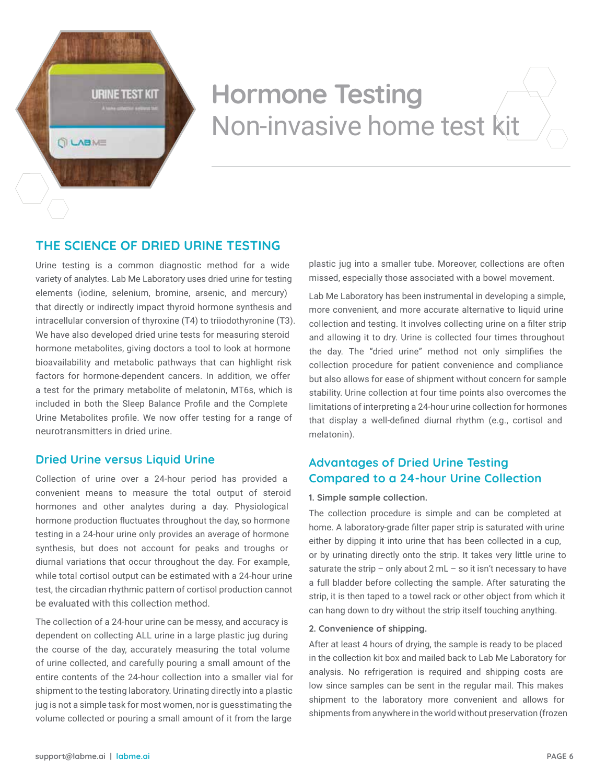**URINE TEST KIT** 

**QUABME** 

## **Hormone Testing** Non-invasive home test kit

## **THE SCIENCE OF DRIED URINE TESTING**

Urine testing is a common diagnostic method for a wide variety of analytes. Lab Me Laboratory uses dried urine for testing elements (iodine, selenium, bromine, arsenic, and mercury) that directly or indirectly impact thyroid hormone synthesis and intracellular conversion of thyroxine (T4) to triiodothyronine (T3). We have also developed dried urine tests for measuring steroid hormone metabolites, giving doctors a tool to look at hormone bioavailability and metabolic pathways that can highlight risk factors for hormone-dependent cancers. In addition, we offer a test for the primary metabolite of melatonin, MT6s, which is included in both the Sleep Balance Profile and the Complete Urine Metabolites profile. We now offer testing for a range of neurotransmitters in dried urine.

## **Dried Urine versus Liquid Urine**

Collection of urine over a 24-hour period has provided a convenient means to measure the total output of steroid hormones and other analytes during a day. Physiological hormone production fluctuates throughout the day, so hormone testing in a 24-hour urine only provides an average of hormone synthesis, but does not account for peaks and troughs or diurnal variations that occur throughout the day. For example, while total cortisol output can be estimated with a 24-hour urine test, the circadian rhythmic pattern of cortisol production cannot be evaluated with this collection method.

The collection of a 24-hour urine can be messy, and accuracy is dependent on collecting ALL urine in a large plastic jug during the course of the day, accurately measuring the total volume of urine collected, and carefully pouring a small amount of the entire contents of the 24-hour collection into a smaller vial for shipment to the testing laboratory. Urinating directly into a plastic jug is not a simple task for most women, nor is guesstimating the volume collected or pouring a small amount of it from the large

plastic jug into a smaller tube. Moreover, collections are often missed, especially those associated with a bowel movement.

Lab Me Laboratory has been instrumental in developing a simple, more convenient, and more accurate alternative to liquid urine collection and testing. It involves collecting urine on a filter strip and allowing it to dry. Urine is collected four times throughout the day. The "dried urine" method not only simplifies the collection procedure for patient convenience and compliance but also allows for ease of shipment without concern for sample stability. Urine collection at four time points also overcomes the limitations of interpreting a 24-hour urine collection for hormones that display a well-defined diurnal rhythm (e.g., cortisol and melatonin).

## **Advantages of Dried Urine Testing Compared to a 24-hour Urine Collection**

### **1. Simple sample collection.**

The collection procedure is simple and can be completed at home. A laboratory-grade filter paper strip is saturated with urine either by dipping it into urine that has been collected in a cup, or by urinating directly onto the strip. It takes very little urine to saturate the strip – only about  $2 \text{ mL}$  – so it isn't necessary to have a full bladder before collecting the sample. After saturating the strip, it is then taped to a towel rack or other object from which it can hang down to dry without the strip itself touching anything.

#### **2. Convenience of shipping.**

After at least 4 hours of drying, the sample is ready to be placed in the collection kit box and mailed back to Lab Me Laboratory for analysis. No refrigeration is required and shipping costs are low since samples can be sent in the regular mail. This makes shipment to the laboratory more convenient and allows for shipments from anywhere in the world without preservation (frozen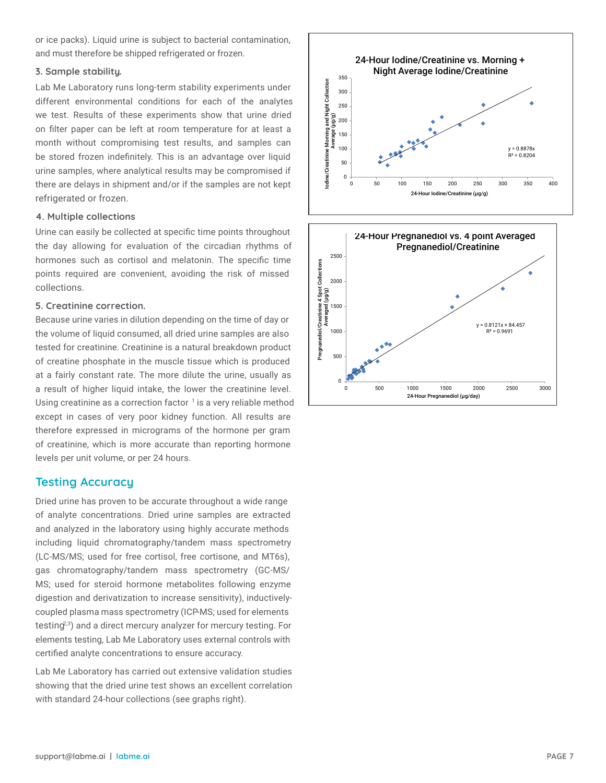or ice packs). Liquid urine is subject to bacterial contamination, and must therefore be shipped refrigerated or frozen.

### **3. Sample stability.**

Lab Me Laboratory runs long-term stability experiments under different environmental conditions for each of the analytes we test. Results of these experiments show that urine dried on filter paper can be left at room temperature for at least a month without compromising test results, and samples can be stored frozen indefinitely. This is an advantage over liquid urine samples, where analytical results may be compromised if there are delays in shipment and/or if the samples are not kept refrigerated or frozen.

#### **4. Multiple collections**

Urine can easily be collected at specific time points throughout the day allowing for evaluation of the circadian rhythms of hormones such as cortisol and melatonin. The specific time points required are convenient, avoiding the risk of missed collections.

### **5. Creatinine correction.**

Because urine varies in dilution depending on the time of day or the volume of liquid consumed, all dried urine samples are also tested for creatinine. Creatinine is a natural breakdown product of creatine phosphate in the muscle tissue which is produced at a fairly constant rate. The more dilute the urine, usually as a result of higher liquid intake, the lower the creatinine level. Using creatinine as a correction factor  $1$  is a very reliable method except in cases of very poor kidney function. All results are therefore expressed in micrograms of the hormone per gram of creatinine, which is more accurate than reporting hormone levels per unit volume, or per 24 hours.

## **Testing Accuracy**

Dried urine has proven to be accurate throughout a wide range of analyte concentrations. Dried urine samples are extracted and analyzed in the laboratory using highly accurate methods including liquid chromatography/tandem mass spectrometry (LC-MS/MS; used for free cortisol, free cortisone, and MT6s), gas chromatography/tandem mass spectrometry (GC-MS/ MS; used for steroid hormone metabolites following enzyme digestion and derivatization to increase sensitivity), inductivelycoupled plasma mass spectrometry (ICP-MS; used for elements testing<sup>2,3</sup>) and a direct mercury analyzer for mercury testing. For elements testing, Lab Me Laboratory uses external controls with certified analyte concentrations to ensure accuracy.

Lab Me Laboratory has carried out extensive validation studies showing that the dried urine test shows an excellent correlation with standard 24-hour collections (see graphs right).



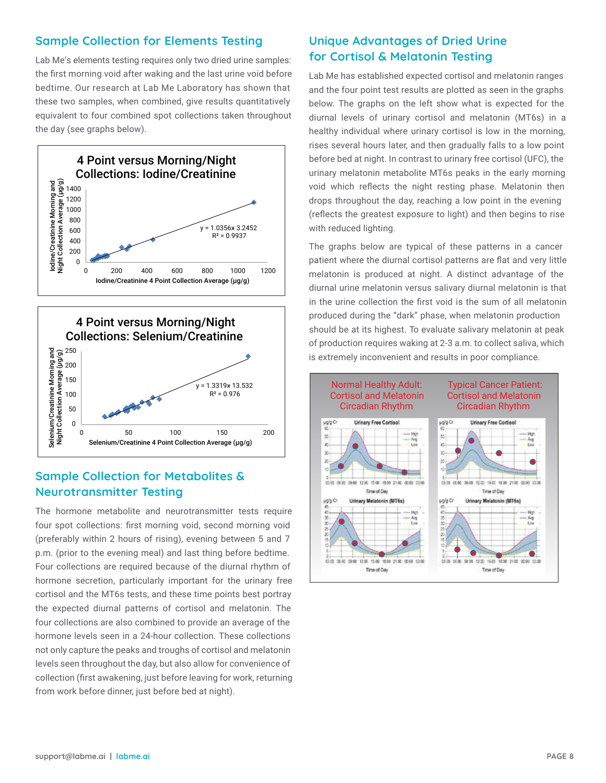## **Sample Collection for Elements Testing**

Lab Me's elements testing requires only two dried urine samples: the first morning void after waking and the last urine void before bedtime. Our research at Lab Me Laboratory has shown that these two samples, when combined, give results quantitatively equivalent to four combined spot collections taken throughout the day (see graphs below).





#### **Sample Collection for Metabolites & Steroid Schoolites and metabolites of the steroid of the steroid Neurotransmitter Testing and last thing between the district of the district of the district of the district o**  $\mathsf{sample}\ \mathsf{Collection}\ \mathsf{for}\ \mathsf{Met}$  and  $\mathsf{R}$  and  $\mathsf{R}$ redi officialism of hormonesecretic important for the urinary free cortisol test.

The hormone metabolite and neurotransmitter tests require four spot collections: first morning void, second morning void  $\begin{pmatrix} x \\ y \end{pmatrix}$ (preferably within 2 hours of rising), evening between 5 and 7 p.m. (prior to the evening meal) and last thing before bedtime.  $\begin{array}{c|c} \hline \end{array}$ Four collections are required because of the diurnal rhythm of  $\left\vert \right\vert$  and an or if hormone secretion, particularly important for the urinary free **complete are contained to the shipped to the shipped to the shipped to the shipped to the shipped to the shipped to the shipped to the shipped to the shipped** cortisol and the MT6s tests, and these time points best portray the expected diurnal patterns of cortisol and melatonin. The four collections are also combined to provide an average of the hormone levels seen in a 24-hour collection. These collections not only capture the peaks and troughs of cortisol and melatonin levels seen throughout the day, but also allow for convenience of collection (first awakening, just before leaving for work, returning from work before dinner, just before bed at night). preferably within 2 notifs of rising), evening between 5 and 7 our conections are required because or the didition injuring or  $\overline{\phantom{a}}$ our conections are also combined to provide an average or the lot only captule the peaks and troughs or cortisor and melatoriin  $B_{\rm E}$ conection (in st awakening, just before leaving for work, returning of creatine phosphate in the muscle tissue whs pich i roduced at a fairlcy onstantrate. The more

## **Unique Advantages of Dried Urine for Cortisol & Melatonin Testing**

Lab Me has established expected cortisol and melatonin ranges and the four point test results are plotted as seen in the graphs below. The graphs on the left show what is expected for the diurnal levels of urinary cortisol and melatonin (MT6s) in a healthy individual where urinary cortisol is low in the morning, rises several hours later, and then gradually falls to a low point before bed at night. In contrast to urinary free cortisol (UFC), the urinary melatonin metabolite MT6s peaks in the early morning void which reflects the night resting phase. Melatonin then drops throughout the day, reaching a low point in the evening (reflects the greatest exposure to light) and then begins to rise with reduced lighting.

The graphs below are typical of these patterns in a cancer patient where the diurnal cortisol patterns are flat and very little melatonin is produced at night. A distinct advantage of the diurnal urine melatonin versus salivary diurnal melatonin is that in the urine collection the first void is the sum of all melatonin produced during the "dark" phase, when melatonin production should be at its highest. To evaluate salivary melatonin at peak of production requires waking at 2-3 a.m. to collect saliva, which is extremely inconvenient and results in poor compliance.